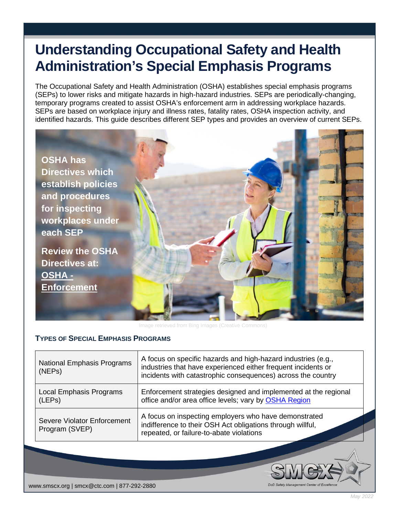# **Understanding Occupational Safety and Health Administration's Special Emphasis Programs**

The Occupational Safety and Health Administration (OSHA) establishes special emphasis programs (SEPs) to lower risks and mitigate hazards in high-hazard industries. SEPs are periodically-changing, temporary programs created to assist OSHA's enforcement arm in addressing workplace hazards. SEPs are based on workplace injury and illness rates, fatality rates, OSHA inspection activity, and identified hazards. This guide describes different SEP types and provides an overview of current SEPs.



### **TYPES OF SPECIAL EMPHASIS PROGRAMS**

| National Emphasis Programs<br>(NEP <sub>s</sub> )    | A focus on specific hazards and high-hazard industries (e.g.,<br>industries that have experienced either frequent incidents or<br>incidents with catastrophic consequences) across the country |  |
|------------------------------------------------------|------------------------------------------------------------------------------------------------------------------------------------------------------------------------------------------------|--|
| <b>Local Emphasis Programs</b><br>(LEPs)             | Enforcement strategies designed and implemented at the regional<br>office and/or area office levels; vary by OSHA Region                                                                       |  |
| <b>Severe Violator Enforcement</b><br>Program (SVEP) | A focus on inspecting employers who have demonstrated<br>indifference to their OSH Act obligations through willful,<br>repeated, or failure-to-abate violations                                |  |

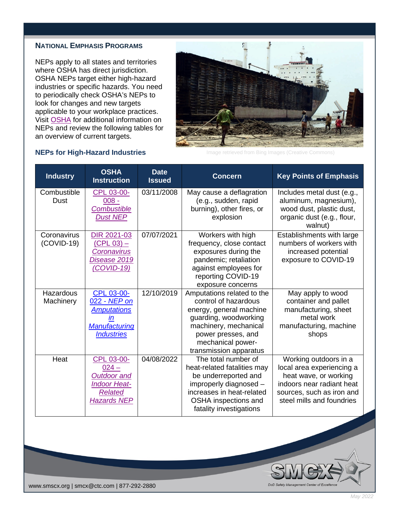### **NATIONAL EMPHASIS PROGRAMS**

NEPs apply to all states and territories where OSHA has direct jurisdiction. OSHA NEPs target either high-hazard industries or specific hazards. You need to periodically check OSHA's NEPs to look for changes and new targets applicable to your workplace practices. Visit [OSHA](https://www.osha.gov/enforcement/directives/nep) for additional information on NEPs and review the following tables for an overview of current targets.



Image retrieved from Bing Images (Creative Commons)

DoD Safety M

| <b>Industry</b>             | <b>OSHA</b><br><b>Instruction</b>                                                                          | <b>Date</b><br><b>Issued</b> | <b>Concern</b>                                                                                                                                                                                       | <b>Key Points of Emphasis</b>                                                                                                                                      |
|-----------------------------|------------------------------------------------------------------------------------------------------------|------------------------------|------------------------------------------------------------------------------------------------------------------------------------------------------------------------------------------------------|--------------------------------------------------------------------------------------------------------------------------------------------------------------------|
| Combustible<br><b>Dust</b>  | CPL 03-00-<br>$008 -$<br><b>Combustible</b><br><b>Dust NEP</b>                                             | 03/11/2008                   | May cause a deflagration<br>(e.g., sudden, rapid<br>burning), other fires, or<br>explosion                                                                                                           | Includes metal dust (e.g.,<br>aluminum, magnesium),<br>wood dust, plastic dust,<br>organic dust (e.g., flour,<br>walnut)                                           |
| Coronavirus<br>$(COVID-19)$ | DIR 2021-03<br>$(CPL 03) -$<br><b>Coronavirus</b><br>Disease 2019<br>(COVID-19)                            | 07/07/2021                   | Workers with high<br>frequency, close contact<br>exposures during the<br>pandemic; retaliation<br>against employees for<br>reporting COVID-19<br>exposure concerns                                   | Establishments with large<br>numbers of workers with<br>increased potential<br>exposure to COVID-19                                                                |
| Hazardous<br>Machinery      | CPL 03-00-<br>022 - NEP on<br><b>Amputations</b><br>Manufacturing<br><b>Industries</b>                     | 12/10/2019                   | Amputations related to the<br>control of hazardous<br>energy, general machine<br>guarding, woodworking<br>machinery, mechanical<br>power presses, and<br>mechanical power-<br>transmission apparatus | May apply to wood<br>container and pallet<br>manufacturing, sheet<br>metal work<br>manufacturing, machine<br>shops                                                 |
| Heat                        | CPL 03-00-<br>$024 -$<br><b>Outdoor and</b><br><b>Indoor Heat-</b><br><b>Related</b><br><b>Hazards NEP</b> | 04/08/2022                   | The total number of<br>heat-related fatalities may<br>be underreported and<br>improperly diagnosed -<br>increases in heat-related<br>OSHA inspections and<br>fatality investigations                 | Working outdoors in a<br>local area experiencing a<br>heat wave, or working<br>indoors near radiant heat<br>sources, such as iron and<br>steel mills and foundries |

#### **NEPs for High-Hazard Industries**

www.smscx.org | smcx@ctc.com | 877-292-2880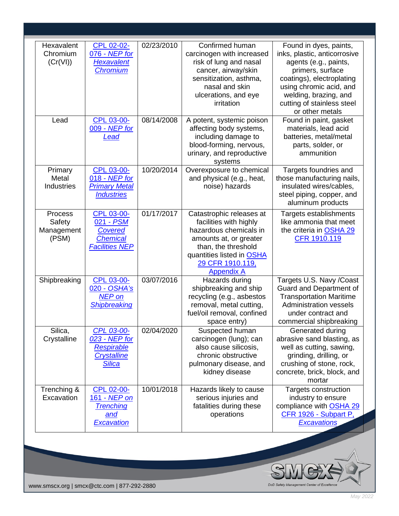| Hexavalent<br>Chromium<br>(Cr(VI))       | CPL 02-02-<br>076 - NEP for<br><b>Hexavalent</b><br><b>Chromium</b>                   | 02/23/2010 | Confirmed human<br>carcinogen with increased<br>risk of lung and nasal<br>cancer, airway/skin<br>sensitization, asthma,<br>nasal and skin<br>ulcerations, and eye<br>irritation                     | Found in dyes, paints,<br>inks, plastic, anticorrosive<br>agents (e.g., paints,<br>primers, surface<br>coatings), electroplating<br>using chromic acid, and<br>welding, brazing, and<br>cutting of stainless steel<br>or other metals |
|------------------------------------------|---------------------------------------------------------------------------------------|------------|-----------------------------------------------------------------------------------------------------------------------------------------------------------------------------------------------------|---------------------------------------------------------------------------------------------------------------------------------------------------------------------------------------------------------------------------------------|
| Lead                                     | CPL 03-00-<br>009 - NEP for<br>Lead                                                   | 08/14/2008 | A potent, systemic poison<br>affecting body systems,<br>including damage to<br>blood-forming, nervous,<br>urinary, and reproductive<br>systems                                                      | Found in paint, gasket<br>materials, lead acid<br>batteries, metal/metal<br>parts, solder, or<br>ammunition                                                                                                                           |
| Primary<br>Metal<br><b>Industries</b>    | <b>CPL 03-00-</b><br>018 - NEP for<br><b>Primary Metal</b><br><b>Industries</b>       | 10/20/2014 | Overexposure to chemical<br>and physical (e.g., heat,<br>noise) hazards                                                                                                                             | Targets foundries and<br>those manufacturing nails,<br>insulated wires/cables,<br>steel piping, copper, and<br>aluminum products                                                                                                      |
| Process<br>Safety<br>Management<br>(PSM) | CPL 03-00-<br>021 - PSM<br><b>Covered</b><br><b>Chemical</b><br><b>Facilities NEP</b> | 01/17/2017 | Catastrophic releases at<br>facilities with highly<br>hazardous chemicals in<br>amounts at, or greater<br>than, the threshold<br>quantities listed in OSHA<br>29 CFR 1910.119,<br><b>Appendix A</b> | Targets establishments<br>like ammonia that meet<br>the criteria in OSHA 29<br>CFR 1910.119                                                                                                                                           |
| Shipbreaking                             | CPL 03-00-<br>020 - OSHA's<br><b>NEP</b> on<br>Shipbreaking                           | 03/07/2016 | Hazards during<br>shipbreaking and ship<br>recycling (e.g., asbestos<br>removal, metal cutting,<br>fuel/oil removal, confined<br>space entry)                                                       | Targets U.S. Navy /Coast<br><b>Guard and Department of</b><br><b>Transportation Maritime</b><br><b>Administration vessels</b><br>under contract and<br>commercial shipbreaking                                                        |
| Silica,<br>Crystalline                   | CPL 03-00-<br>023 - NEP for<br>Respirable<br><b>Crystalline</b><br><b>Silica</b>      | 02/04/2020 | Suspected human<br>carcinogen (lung); can<br>also cause silicosis,<br>chronic obstructive<br>pulmonary disease, and<br>kidney disease                                                               | Generated during<br>abrasive sand blasting, as<br>well as cutting, sawing,<br>grinding, drilling, or<br>crushing of stone, rock,<br>concrete, brick, block, and<br>mortar                                                             |
| Trenching &<br>Excavation                | CPL 02-00-<br>161 - NEP on<br><b>Trenching</b><br>and<br><b>Excavation</b>            | 10/01/2018 | Hazards likely to cause<br>serious injuries and<br>fatalities during these<br>operations                                                                                                            | Targets construction<br>industry to ensure<br>compliance with OSHA 29<br>CFR 1926 - Subpart P,<br><b>Excavations</b>                                                                                                                  |
|                                          |                                                                                       |            |                                                                                                                                                                                                     |                                                                                                                                                                                                                                       |

www.smscx.org | smcx@ctc.com | 877-292-2880

*May 2022*

SMEX DoD Safety Management Center of Excellence